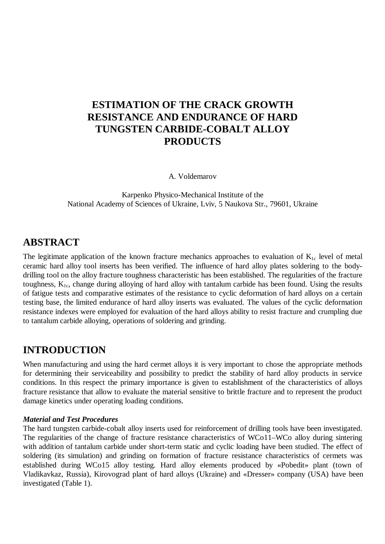# **ESTIMATION OF THE CRACK GROWTH RESISTANCE AND ENDURANCE OF HARD TUNGSTEN CARBIDE-COBALT ALLOY PRODUCTS**

A. Voldemarov

Karpenko Physico-Mechanical Institute of the National Academy of Sciences of Ukraine, Lviv, 5 Naukova Str., 79601, Ukraine

# **ABSTRACT**

The legitimate application of the known fracture mechanics approaches to evaluation of  $K_{1c}$  level of metal ceramic hard alloy tool inserts has been verified. The influence of hard alloy plates soldering to the bodydrilling tool on the alloy fracture toughness characteristic has been established. The regularities of the fracture toughness,  $K_{1c}$ , change during alloying of hard alloy with tantalum carbide has been found. Using the results of fatigue tests and comparative estimates of the resistance to cyclic deformation of hard alloys on a certain testing base, the limited endurance of hard alloy inserts was evaluated. The values of the cyclic deformation resistance indexes were employed for evaluation of the hard alloys ability to resist fracture and crumpling due to tantalum carbide alloying, operations of soldering and grinding.

# **INTRODUCTION**

When manufacturing and using the hard cermet alloys it is very important to chose the appropriate methods for determining their serviceability and possibility to predict the stability of hard alloy products in service conditions. In this respect the primary importance is given to establishment of the characteristics of alloys fracture resistance that allow to evaluate the material sensitive to brittle fracture and to represent the product damage kinetics under operating loading conditions.

#### *Material and Test Procedures*

The hard tungsten carbide-cobalt alloy inserts used for reinforcement of drilling tools have been investigated. The regularities of the change of fracture resistance characteristics of WCo11–WCo alloy during sintering with addition of tantalum carbide under short-term static and cyclic loading have been studied. The effect of soldering (its simulation) and grinding on formation of fracture resistance characteristics of cermets was established during WCo15 alloy testing. Hard alloy elements produced by «Pobedit» plant (town of Vladikavkaz, Russia), Kirovograd plant of hard alloys (Ukraine) and «Dresser» company (USA) have been investigated (Table 1).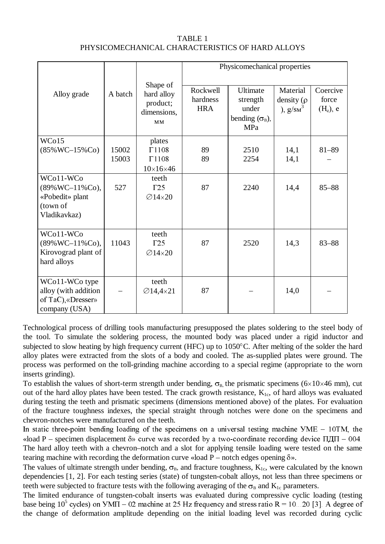| TABLE 1                                          |  |
|--------------------------------------------------|--|
| PHYSICOMECHANICAL CHARACTERISTICS OF HARD ALLOYS |  |

|                                                                                |                |                                                                     | Physicomechanical properties       |                                                                  |                                             |                                  |
|--------------------------------------------------------------------------------|----------------|---------------------------------------------------------------------|------------------------------------|------------------------------------------------------------------|---------------------------------------------|----------------------------------|
| Alloy grade                                                                    | A batch        | Shape of<br>hard alloy<br>product;<br>dimensions,<br>MM             | Rockwell<br>hardness<br><b>HRA</b> | Ultimate<br>strength<br>under<br>bending $(\sigma_{B})$ ,<br>MPa | Material<br>density $(\rho)$<br>), $g/sM^3$ | Coercive<br>force<br>$(H_c)$ , e |
| WCo15<br>$(85\%$ WC-15%Co)                                                     | 15002<br>15003 | plates<br>$\Gamma$ 1108<br>$\Gamma$ 1108                            | 89<br>89                           | 2510<br>2254                                                     | 14,1<br>14,1                                | $81 - 89$                        |
| WCo11-WCo<br>$(89\%$ WC-11%Co),<br>«Pobedit» plant<br>(town of<br>Vladikavkaz) | 527            | $10\times16\times46$<br>teeth<br>$\Gamma$ 25<br>$\varnothing$ 14×20 | 87                                 | 2240                                                             | 14,4                                        | $85 - 88$                        |
| WCo11-WCo<br>$(89\%$ WC-11%Co),<br>Kirovograd plant of<br>hard alloys          | 11043          | teeth<br>$\Gamma$ 25<br>$\varnothing$ 14×20                         | 87                                 | 2520                                                             | 14,3                                        | $83 - 88$                        |
| WCo11-WCo type<br>alloy (with addition<br>of TaC), «Dresser»<br>company (USA)  |                | teeth<br>$\varnothing$ 14,4×21                                      | 87                                 |                                                                  | 14,0                                        |                                  |

Technological process of drilling tools manufacturing presupposed the plates soldering to the steel body of the tool. To simulate the soldering process, the mounted body was placed under a rigid inductor and subjected to slow heating by high frequency current (HFC) up to  $1050^{\circ}$ C. After melting of the solder the hard alloy plates were extracted from the slots of a body and cooled. The as-supplied plates were ground. The process was performed on the toll-grinding machine according to a special regime (appropriate to the worn inserts grinding).

To establish the values of short-term strength under bending,  $\sigma_B$ , the prismatic specimens (6×10×46 mm), cut out of the hard alloy plates have been tested. The crack growth resistance,  $K_{1c}$ , of hard alloys was evaluated during testing the teeth and prismatic specimens (dimensions mentioned above) of the plates. For evaluation of the fracture toughness indexes, the special straight through notches were done on the specimens and chevron-notches were manufactured on the teeth.

In static three-point bending loading of the specimens on a universal testing machine  $YME - 10TM$ , the «load P – specimen displacement  $\delta$ » curve was recorded by a two-coordinate recording device  $\Pi \Pi \Pi - 004$ . The hard alloy teeth with a chevron–notch and a slot for applying tensile loading were tested on the same tearing machine with recording the deformation curve «load  $P$  – notch edges opening  $\delta$ ».

The values of ultimate strength under bending,  $\sigma_B$ , and fracture toughness,  $K_{1c}$ , were calculated by the known dependencies [1, 2]. For each testing series (state) of tungsten-cobalt alloys, not less than three specimens or teeth were subjected to fracture tests with the following averaging of the  $\sigma_B$  and  $K_{1c}$  parameters.

The limited endurance of tungsten-cobalt inserts was evaluated during compressive cyclic loading (testing base being  $10^5$  cycles) on  $\overline{Y}$ MI – 02 machine at 25 Hz frequency and stress ratio R = 10...20 [3]. A degree of the change of deformation amplitude depending on the initial loading level was recorded during cyclic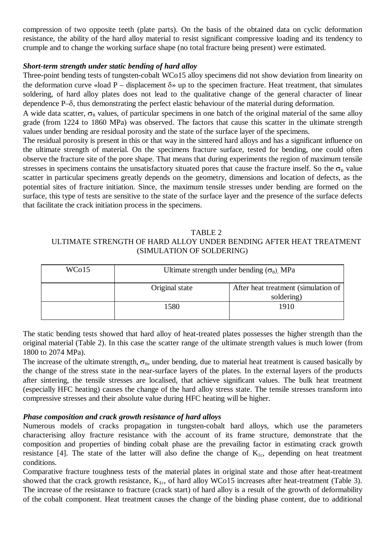compression of two opposite teeth (plate parts). On the basis of the obtained data on cyclic deformation resistance, the ability of the hard alloy material to resist significant compressive loading and its tendency to crumple and to change the working surface shape (no total fracture being present) were estimated.

### *Short-term strength under static bending of hard alloy*

Three-point bending tests of tungsten-cobalt WCo15 alloy specimens did not show deviation from linearity on the deformation curve «load P – displacement  $\delta$ » up to the specimen fracture. Heat treatment, that simulates soldering, of hard alloy plates does not lead to the qualitative change of the general character of linear dependence P–G, thus demonstrating the perfect elastic behaviour of the material during deformation.

A wide data scatter,  $\sigma_B$  values, of particular specimens in one batch of the original material of the same alloy grade (from 1224 to 1860 MPa) was observed. The factors that cause this scatter in the ultimate strength values under bending are residual porosity and the state of the surface layer of the specimens.

The residual porosity is present in this or that way in the sintered hard alloys and has a significant influence on the ultimate strength of material. On the specimens fracture surface, tested for bending, one could often observe the fracture site of the pore shape. That means that during experiments the region of maximum tensile stresses in specimens contains the unsatisfactory situated pores that cause the fracture inself. So the  $\sigma_{\rm B}$  value scatter in particular specimens greatly depends on the geometry, dimensions and location of defects, as the potential sites of fracture initiation. Since, the maximum tensile stresses under bending are formed on the surface, this type of tests are sensitive to the state of the surface layer and the presence of the surface defects that facilitate the crack initiation process in the specimens.

#### TABLE 2

# ULTIMATE STRENGTH OF HARD ALLOY UNDER BENDING AFTER HEAT TREATMENT (SIMULATION OF SOLDERING)

| WCo15 | Ultimate strength under bending $(\sigma_B)$ MPa |                                                   |  |
|-------|--------------------------------------------------|---------------------------------------------------|--|
|       | Original state                                   | After heat treatment (simulation of<br>soldering) |  |
|       | 1580                                             | 1910                                              |  |

The static bending tests showed that hard alloy of heat-treated plates possesses the higher strength than the original material (Table 2). In this case the scatter range of the ultimate strength values is much lower (from 1800 to 2074 MPa).

The increase of the ultimate strength,  $\sigma_B$ , under bending, due to material heat treatment is caused basically by the change of the stress state in the near-surface layers of the plates. In the external layers of the products after sintering, the tensile stresses are localised, that achieve significant values. The bulk heat treatment (especially HFC heating) causes the change of the hard alloy stress state. The tensile stresses transform into compressive stresses and their absolute value during HFC heating will be higher.

#### *Phase composition and crack growth resistance of hard alloys*

Numerous models of cracks propagation in tungsten-cobalt hard alloys, which use the parameters characterising alloy fracture resistance with the account of its frame structure, demonstrate that the composition and properties of binding cobalt phase are the prevailing factor in estimating crack growth resistance [4]. The state of the latter will also define the change of  $K_{1c}$ , depending on heat treatment conditions.

Comparative fracture toughness tests of the material plates in original state and those after heat-treatment showed that the crack growth resistance,  $K_{1c}$ , of hard alloy WCo15 increases after heat-treatment (Table 3). The increase of the resistance to fracture (crack start) of hard alloy is a result of the growth of deformability of the cobalt component. Heat treatment causes the change of the binding phase content, due to additional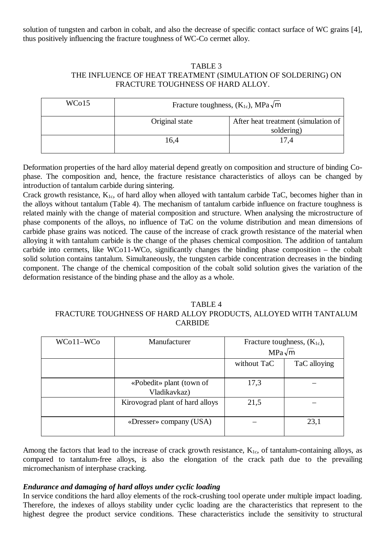solution of tungsten and carbon in cobalt, and also the decrease of specific contact surface of WC grains [4], thus positively influencing the fracture toughness of WC-Co cermet alloy.

## TABLE 3 THE INFLUENCE OF HEAT TREATMENT (SIMULATION OF SOLDERING) ON FRACTURE TOUGHNESS OF HARD ALLOY.

| WCo15 | Fracture toughness, $(K_{1c})$ , MPa $\sqrt{m}$ |                                                   |  |
|-------|-------------------------------------------------|---------------------------------------------------|--|
|       | Original state                                  | After heat treatment (simulation of<br>soldering) |  |
|       | 16,4                                            | 17.4                                              |  |

Deformation properties of the hard alloy material depend greatly on composition and structure of binding Cophase. The composition and, hence, the fracture resistance characteristics of alloys can be changed by introduction of tantalum carbide during sintering.

Crack growth resistance,  $K_{1c}$ , of hard alloy when alloyed with tantalum carbide TaC, becomes higher than in the alloys without tantalum (Table 4). The mechanism of tantalum carbide influence on fracture toughness is related mainly with the change of material composition and structure. When analysing the microstructure of phase components of the alloys, no influence of TaC on the volume distribution and mean dimensions of carbide phase grains was noticed. The cause of the increase of crack growth resistance of the material when alloying it with tantalum carbide is the change of the phases chemical composition. The addition of tantalum carbide into cermets, like WCo11-WCo, significantly changes the binding phase composition – the cobalt solid solution contains tantalum. Simultaneously, the tungsten carbide concentration decreases in the binding component. The change of the chemical composition of the cobalt solid solution gives the variation of the deformation resistance of the binding phase and the alloy as a whole.

#### TABLE 4 FRACTURE TOUGHNESS OF HARD ALLOY PRODUCTS, ALLOYED WITH TANTALUM CARBIDE

| WCo11-WCo | Manufacturer                             | Fracture toughness, $(K_{1c})$ ,<br>$MPa\sqrt{m}$ |              |
|-----------|------------------------------------------|---------------------------------------------------|--------------|
|           |                                          | without TaC                                       | TaC alloying |
|           | «Pobedit» plant (town of<br>Vladikavkaz) | 17,3                                              |              |
|           | Kirovograd plant of hard alloys          | 21,5                                              |              |
|           | «Dresser» company (USA)                  |                                                   | 23,1         |

Among the factors that lead to the increase of crack growth resistance,  $K_{1c}$ , of tantalum-containing alloys, as compared to tantalum-free alloys, is also the elongation of the crack path due to the prevailing micromechanism of interphase cracking.

## *Endurance and damaging of hard alloys under cyclic loading*

In service conditions the hard alloy elements of the rock-crushing tool operate under multiple impact loading. Therefore, the indexes of alloys stability under cyclic loading are the characteristics that represent to the highest degree the product service conditions. These characteristics include the sensitivity to structural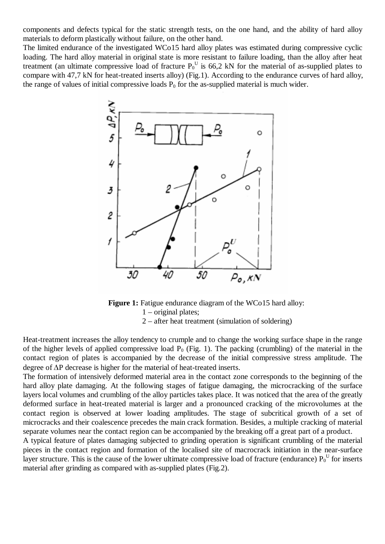components and defects typical for the static strength tests, on the one hand, and the ability of hard alloy materials to deform plastically without failure, on the other hand.

The limited endurance of the investigated WCo15 hard alloy plates was estimated during compressive cyclic loading. The hard alloy material in original state is more resistant to failure loading, than the alloy after heat treatment (an ultimate compressive load of fracture  $P_0^U$  is 66,2 kN for the material of as-supplied plates to compare with 47,7 kN for heat-treated inserts alloy) (Fig.1). According to the endurance curves of hard alloy, the range of values of initial compressive loads  $P_0$  for the as-supplied material is much wider.



**Figure 1:** Fatigue endurance diagram of the WCo15 hard alloy: 1 – original plates; 2 – after heat treatment (simulation of soldering)

Heat-treatment increases the alloy tendency to crumple and to change the working surface shape in the range of the higher levels of applied compressive load  $P_0$  (Fig. 1). The packing (crumbling) of the material in the contact region of plates is accompanied by the decrease of the initial compressive stress amplitude. The degree of  $\Delta P$  decrease is higher for the material of heat-treated inserts.

The formation of intensively deformed material area in the contact zone corresponds to the beginning of the hard alloy plate damaging. At the following stages of fatigue damaging, the microcracking of the surface layers local volumes and crumbling of the alloy particles takes place. It was noticed that the area of the greatly deformed surface in heat-treated material is larger and a pronounced cracking of the microvolumes at the contact region is observed at lower loading amplitudes. The stage of subcritical growth of a set of microcracks and their coalescence precedes the main crack formation. Besides, a multiple cracking of material separate volumes near the contact region can be accompanied by the breaking off a great part of a product.

A typical feature of plates damaging subjected to grinding operation is significant crumbling of the material pieces in the contact region and formation of the localised site of macrocrack initiation in the near-surface layer structure. This is the cause of the lower ultimate compressive load of fracture (endurance)  $P_0^U$  for inserts material after grinding as compared with as-supplied plates (Fig.2).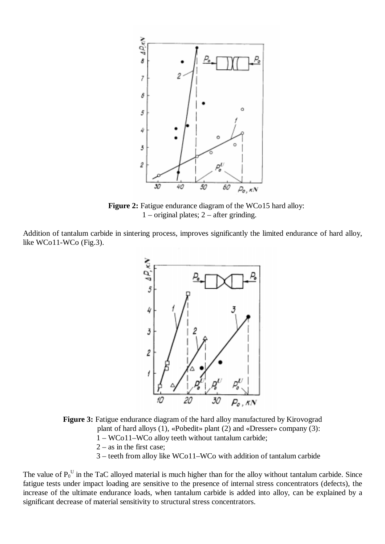

**Figure 2:** Fatigue endurance diagram of the WCo15 hard alloy: 1 – original plates; 2 – after grinding.

Addition of tantalum carbide in sintering process, improves significantly the limited endurance of hard alloy, like WCo11-WCo (Fig.3).





3 – teeth from alloy like WCo11–WCo with addition of tantalum carbide

The value of  $P_0^U$  in the TaC alloyed material is much higher than for the alloy without tantalum carbide. Since fatigue tests under impact loading are sensitive to the presence of internal stress concentrators (defects), the increase of the ultimate endurance loads, when tantalum carbide is added into alloy, can be explained by a significant decrease of material sensitivity to structural stress concentrators.